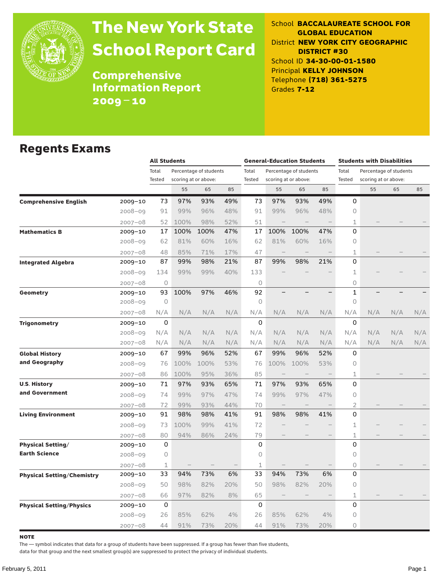

# The New York State School Report Card

School **BACCALAUREATE SCHOOL FOR GLOBAL EDUCATION** District **NEW YORK CITY GEOGRAPHIC DISTRICT #30** School ID **34-30-00-01-1580** Principal **KELLY JOHNSON** Telephone **(718) 361-5275** Grades **7-12**

Comprehensive Information Report 2009–10

### Regents Exams

|                                   |             | <b>All Students</b> |      |                        | <b>General-Education Students</b> |         |                   |                        | <b>Students with Disabilities</b> |                |                        |     |     |
|-----------------------------------|-------------|---------------------|------|------------------------|-----------------------------------|---------|-------------------|------------------------|-----------------------------------|----------------|------------------------|-----|-----|
|                                   |             | Total               |      | Percentage of students |                                   | Total   |                   | Percentage of students |                                   | Total          | Percentage of students |     |     |
|                                   |             | Tested              |      | scoring at or above:   |                                   | Tested  |                   | scoring at or above:   |                                   | Tested         | scoring at or above:   |     |     |
|                                   |             |                     | 55   | 65                     | 85                                |         | 55                | 65                     | 85                                |                | 55                     | 65  | 85  |
| <b>Comprehensive English</b>      | $2009 - 10$ | 73                  | 97%  | 93%                    | 49%                               | 73      | 97%               | 93%                    | 49%                               | 0              |                        |     |     |
|                                   | $2008 - 09$ | 91                  | 99%  | 96%                    | 48%                               | 91      | 99%               | 96%                    | 48%                               | 0              |                        |     |     |
|                                   | $2007 - 08$ | 52                  | 100% | 98%                    | 52%                               | 51      |                   |                        |                                   | $\mathbf 1$    |                        |     |     |
| <b>Mathematics B</b>              | 2009-10     | 17                  | 100% | 100%                   | 47%                               | 17      | 100%              | 100%                   | 47%                               | 0              |                        |     |     |
|                                   | $2008 - 09$ | 62                  | 81%  | 60%                    | 16%                               | 62      | 81%               | 60%                    | 16%                               | 0              |                        |     |     |
|                                   | $2007 - 08$ | 48                  | 85%  | 71%                    | 17%                               | 47      |                   |                        |                                   | 1              |                        |     |     |
| <b>Integrated Algebra</b>         | 2009-10     | 87                  | 99%  | 98%                    | 21%                               | 87      | 99%               | 98%                    | 21%                               | 0              |                        |     |     |
|                                   | $2008 - 09$ | 134                 | 99%  | 99%                    | 40%                               | 133     |                   |                        |                                   | $\mathbf 1$    |                        |     |     |
|                                   | $2007 - 08$ | 0                   |      |                        |                                   | 0       |                   |                        |                                   | 0              |                        |     |     |
| Geometry                          | 2009-10     | 93                  | 100% | 97%                    | 46%                               | 92      |                   |                        |                                   | $\mathbf{1}$   |                        |     |     |
|                                   | $2008 - 09$ | $\circ$             |      |                        |                                   | $\circ$ |                   |                        |                                   | 0              |                        |     |     |
|                                   | $2007 - 08$ | N/A                 | N/A  | N/A                    | N/A                               | N/A     | N/A               | N/A                    | N/A                               | N/A            | N/A                    | N/A | N/A |
| <b>Trigonometry</b>               | 2009-10     | 0                   |      |                        |                                   | 0       |                   |                        |                                   | 0              |                        |     |     |
|                                   | $2008 - 09$ | N/A                 | N/A  | N/A                    | N/A                               | N/A     | N/A               | N/A                    | N/A                               | N/A            | N/A                    | N/A | N/A |
|                                   | $2007 - 08$ | N/A                 | N/A  | N/A                    | N/A                               | N/A     | N/A               | N/A                    | N/A                               | N/A            | N/A                    | N/A | N/A |
| <b>Global History</b>             | 2009-10     | 67                  | 99%  | 96%                    | 52%                               | 67      | 99%               | 96%                    | 52%                               | 0              |                        |     |     |
| and Geography                     | $2008 - 09$ | 76                  | 100% | 100%                   | 53%                               | 76      | 100%              | 100%                   | 53%                               | 0              |                        |     |     |
|                                   | $2007 - 08$ | 86                  | 100% | 95%                    | 36%                               | 85      | $\qquad \qquad -$ | $\qquad \qquad -$      |                                   | 1              |                        |     |     |
| <b>U.S. History</b>               | 2009-10     | 71                  | 97%  | 93%                    | 65%                               | 71      | 97%               | 93%                    | 65%                               | 0              |                        |     |     |
| and Government                    | $2008 - 09$ | 74                  | 99%  | 97%                    | 47%                               | 74      | 99%               | 97%                    | 47%                               | 0              |                        |     |     |
|                                   | $2007 - 08$ | 72                  | 99%  | 93%                    | 44%                               | 70      |                   |                        |                                   | $\overline{2}$ |                        |     |     |
| <b>Living Environment</b>         | 2009-10     | 91                  | 98%  | 98%                    | 41%                               | 91      | 98%               | 98%                    | 41%                               | 0              |                        |     |     |
|                                   | $2008 - 09$ | 73                  | 100% | 99%                    | 41%                               | 72      |                   |                        |                                   | $\mathbf{1}$   |                        |     |     |
|                                   | $2007 - 08$ | 80                  | 94%  | 86%                    | 24%                               | 79      |                   |                        |                                   | $\mathbf{1}$   |                        |     |     |
| <b>Physical Setting/</b>          | 2009-10     | 0                   |      |                        |                                   | 0       |                   |                        |                                   | 0              |                        |     |     |
| <b>Earth Science</b>              | $2008 - 09$ | 0                   |      |                        |                                   | 0       |                   |                        |                                   | $\circ$        |                        |     |     |
|                                   | $2007 - 08$ | 1                   |      |                        |                                   | 1       |                   |                        |                                   | 0              |                        |     |     |
| <b>Physical Setting/Chemistry</b> | 2009-10     | 33                  | 94%  | 73%                    | 6%                                | 33      | 94%               | 73%                    | 6%                                | 0              |                        |     |     |
|                                   | $2008 - 09$ | 50                  | 98%  | 82%                    | 20%                               | 50      | 98%               | 82%                    | 20%                               | 0              |                        |     |     |
|                                   | $2007 - 08$ | 66                  | 97%  | 82%                    | 8%                                | 65      |                   |                        |                                   | 1              |                        |     |     |
| <b>Physical Setting/Physics</b>   | 2009-10     | 0                   |      |                        |                                   | 0       |                   |                        |                                   | 0              |                        |     |     |
|                                   | $2008 - 09$ | 26                  | 85%  | 62%                    | 4%                                | 26      | 85%               | 62%                    | 4%                                | 0              |                        |     |     |
|                                   | $2007 - 08$ | 44                  | 91%  | 73%                    | 20%                               | 44      | 91%               | 73%                    | 20%                               | 0              |                        |     |     |

**NOTE** 

The — symbol indicates that data for a group of students have been suppressed. If a group has fewer than five students,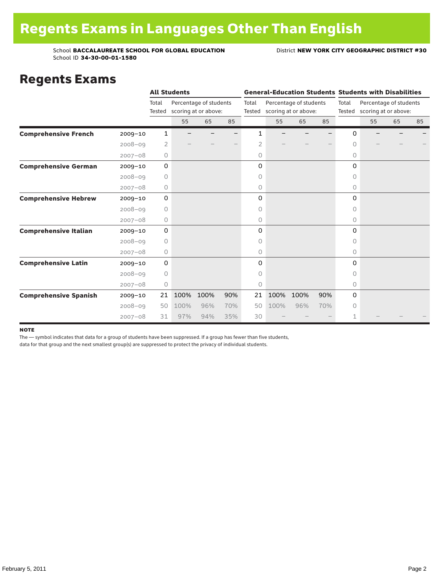### Regents Exams

|                              |             |                 | <b>All Students</b> |                                                |     |       |                                                       |      |     |          | <b>General-Education Students Students with Disabilities</b> |    |    |  |
|------------------------------|-------------|-----------------|---------------------|------------------------------------------------|-----|-------|-------------------------------------------------------|------|-----|----------|--------------------------------------------------------------|----|----|--|
|                              |             | Total<br>Tested |                     | Percentage of students<br>scoring at or above: |     | Total | Percentage of students<br>Tested scoring at or above: |      |     | Total    | Percentage of students<br>Tested scoring at or above:        |    |    |  |
|                              |             |                 | 55                  | 65                                             | 85  |       | 55                                                    | 65   | 85  |          | 55                                                           | 65 | 85 |  |
| <b>Comprehensive French</b>  | $2009 - 10$ | 1               |                     |                                                |     | 1     |                                                       |      |     | 0        |                                                              |    |    |  |
|                              | $2008 - 09$ | 2               |                     |                                                |     | 2     |                                                       |      |     | $\Omega$ |                                                              |    |    |  |
|                              | $2007 - 08$ | 0               |                     |                                                |     | 0     |                                                       |      |     | $\circ$  |                                                              |    |    |  |
| <b>Comprehensive German</b>  | $2009 - 10$ | $\mathbf 0$     |                     |                                                |     | 0     |                                                       |      |     | $\Omega$ |                                                              |    |    |  |
|                              | $2008 - 09$ | 0               |                     |                                                |     | 0     |                                                       |      |     | 0        |                                                              |    |    |  |
|                              | $2007 - 08$ | 0               |                     |                                                |     | 0     |                                                       |      |     | 0        |                                                              |    |    |  |
| <b>Comprehensive Hebrew</b>  | $2009 - 10$ | 0               |                     |                                                |     | 0     |                                                       |      |     | 0        |                                                              |    |    |  |
|                              | $2008 - 09$ | 0               |                     |                                                |     | 0     |                                                       |      |     | 0        |                                                              |    |    |  |
|                              | $2007 - 08$ | 0               |                     |                                                |     | 0     |                                                       |      |     | 0        |                                                              |    |    |  |
| <b>Comprehensive Italian</b> | $2009 - 10$ | 0               |                     |                                                |     | 0     |                                                       |      |     | 0        |                                                              |    |    |  |
|                              | $2008 - 09$ | 0               |                     |                                                |     | 0     |                                                       |      |     | $\Omega$ |                                                              |    |    |  |
|                              | $2007 - 08$ | 0               |                     |                                                |     | 0     |                                                       |      |     | 0        |                                                              |    |    |  |
| <b>Comprehensive Latin</b>   | $2009 - 10$ | 0               |                     |                                                |     | 0     |                                                       |      |     | 0        |                                                              |    |    |  |
|                              | $2008 - 09$ | 0               |                     |                                                |     | 0     |                                                       |      |     | 0        |                                                              |    |    |  |
|                              | $2007 - 08$ | $\circ$         |                     |                                                |     | 0     |                                                       |      |     | 0        |                                                              |    |    |  |
| <b>Comprehensive Spanish</b> | $2009 - 10$ | 21              | 100%                | 100%                                           | 90% | 21    | 100%                                                  | 100% | 90% | $\Omega$ |                                                              |    |    |  |
|                              | $2008 - 09$ | 50              | 100%                | 96%                                            | 70% | 50    | 100%                                                  | 96%  | 70% | 0        |                                                              |    |    |  |
|                              | $2007 - 08$ | 31              | 97%                 | 94%                                            | 35% | 30    |                                                       |      |     | 1        |                                                              |    |    |  |

#### note

The — symbol indicates that data for a group of students have been suppressed. If a group has fewer than five students,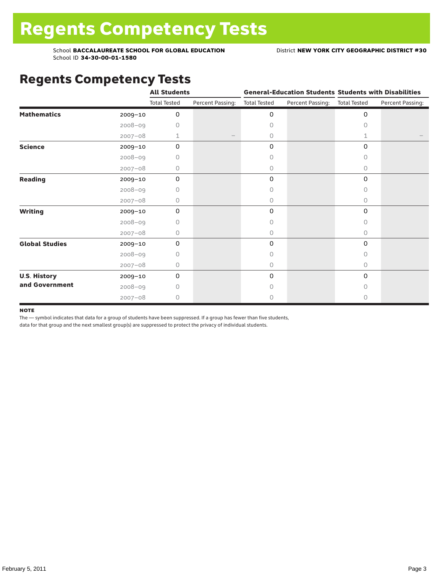## Regents Competency Tests

|                       |             | <b>All Students</b> |                  |                     | <b>General-Education Students Students with Disabilities</b> |                     |                  |
|-----------------------|-------------|---------------------|------------------|---------------------|--------------------------------------------------------------|---------------------|------------------|
|                       |             | <b>Total Tested</b> | Percent Passing: | <b>Total Tested</b> | Percent Passing:                                             | <b>Total Tested</b> | Percent Passing: |
| <b>Mathematics</b>    | 2009-10     | 0                   |                  | 0                   |                                                              | 0                   |                  |
|                       | $2008 - 09$ | 0                   |                  | $\Omega$            |                                                              | 0                   |                  |
|                       | $2007 - 08$ | 1                   |                  | 0                   |                                                              | $\mathbf{1}$        |                  |
| <b>Science</b>        | 2009-10     | 0                   |                  | 0                   |                                                              | 0                   |                  |
|                       | $2008 - 09$ | 0                   |                  | 0                   |                                                              | 0                   |                  |
|                       | $2007 - 08$ | 0                   |                  | 0                   |                                                              | 0                   |                  |
| Reading               | 2009-10     | 0                   |                  | 0                   |                                                              | 0                   |                  |
|                       | $2008 - 09$ | 0                   |                  | 0                   |                                                              | 0                   |                  |
|                       | $2007 - 08$ | 0                   |                  | $\circ$             |                                                              | 0                   |                  |
| <b>Writing</b>        | 2009-10     | 0                   |                  | 0                   |                                                              | 0                   |                  |
|                       | $2008 - 09$ | 0                   |                  | 0                   |                                                              | 0                   |                  |
|                       | $2007 - 08$ | 0                   |                  | 0                   |                                                              | 0                   |                  |
| <b>Global Studies</b> | 2009-10     | 0                   |                  | 0                   |                                                              | 0                   |                  |
|                       | $2008 - 09$ | 0                   |                  | $\circ$             |                                                              | 0                   |                  |
|                       | $2007 - 08$ | 0                   |                  | $\circ$             |                                                              | 0                   |                  |
| <b>U.S. History</b>   | 2009-10     | 0                   |                  | 0                   |                                                              | $\Omega$            |                  |
| and Government        | $2008 - 09$ | 0                   |                  | $\Omega$            |                                                              | <sup>n</sup>        |                  |
|                       | $2007 - 08$ | 0                   |                  | 0                   |                                                              | 0                   |                  |

#### **NOTE**

The — symbol indicates that data for a group of students have been suppressed. If a group has fewer than five students,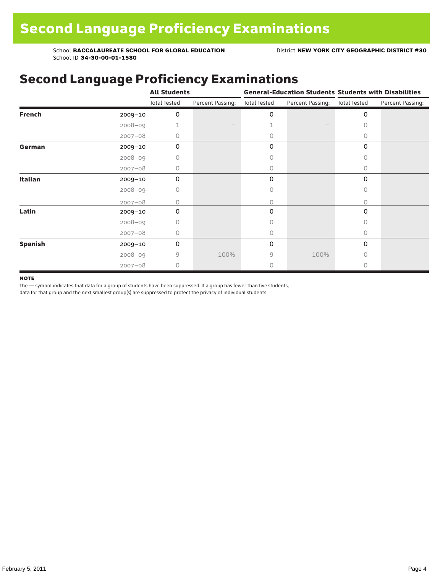## Second Language Proficiency Examinations

|                |             | <b>All Students</b> |                  |                     |                  | <b>General-Education Students Students with Disabilities</b> |                  |  |  |
|----------------|-------------|---------------------|------------------|---------------------|------------------|--------------------------------------------------------------|------------------|--|--|
|                |             | <b>Total Tested</b> | Percent Passing: | <b>Total Tested</b> | Percent Passing: | <b>Total Tested</b>                                          | Percent Passing: |  |  |
| <b>French</b>  | 2009-10     | 0                   |                  | 0                   |                  | 0                                                            |                  |  |  |
|                | $2008 - 09$ |                     |                  |                     |                  | $\circ$                                                      |                  |  |  |
|                | $2007 - 08$ | 0                   |                  | 0                   |                  | 0                                                            |                  |  |  |
| German         | $2009 - 10$ | 0                   |                  | 0                   |                  | 0                                                            |                  |  |  |
|                | $2008 - 09$ | 0                   |                  | Ω                   |                  | 0                                                            |                  |  |  |
|                | $2007 - 08$ | 0                   |                  | 0                   |                  | $\Omega$                                                     |                  |  |  |
| Italian        | 2009-10     | 0                   |                  | 0                   |                  | $\Omega$                                                     |                  |  |  |
|                | $2008 - 09$ | 0                   |                  | 0                   |                  | 0                                                            |                  |  |  |
|                | $2007 - 08$ | Ω                   |                  | 0                   |                  | 0                                                            |                  |  |  |
| Latin          | 2009-10     | 0                   |                  | 0                   |                  | 0                                                            |                  |  |  |
|                | $2008 - 09$ | 0                   |                  |                     |                  | $\bigcap$                                                    |                  |  |  |
|                | $2007 - 08$ | 0                   |                  | 0                   |                  | $\Omega$                                                     |                  |  |  |
| <b>Spanish</b> | $2009 - 10$ | 0                   |                  | 0                   |                  | 0                                                            |                  |  |  |
|                | $2008 - 09$ | 9                   | 100%             | 9                   | 100%             | $\Omega$                                                     |                  |  |  |
|                | $2007 - 08$ | $\circ$             |                  | 0                   |                  | 0                                                            |                  |  |  |

#### **NOTE**

The — symbol indicates that data for a group of students have been suppressed. If a group has fewer than five students,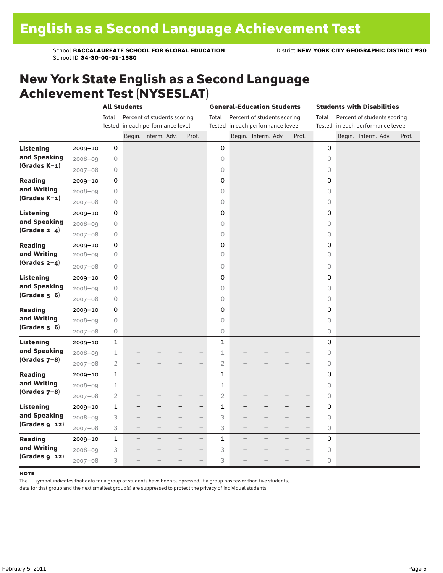### New York State English as a Second Language Achievement Test (NYSESLAT)

|                  |             |                | <b>All Students</b>      |                                   |                          | <b>General-Education Students</b> |                |                   |                                   | <b>Students with Disabilities</b> |                          |                     |  |                                   |  |       |
|------------------|-------------|----------------|--------------------------|-----------------------------------|--------------------------|-----------------------------------|----------------|-------------------|-----------------------------------|-----------------------------------|--------------------------|---------------------|--|-----------------------------------|--|-------|
|                  |             | Total          |                          | Percent of students scoring       |                          |                                   | Total          |                   | Percent of students scoring       |                                   |                          | Total               |  | Percent of students scoring       |  |       |
|                  |             |                |                          | Tested in each performance level: |                          |                                   |                |                   | Tested in each performance level: |                                   |                          |                     |  | Tested in each performance level: |  |       |
|                  |             |                |                          | Begin. Interm. Adv.               |                          | Prof.                             |                |                   | Begin. Interm. Adv.               |                                   | Prof.                    |                     |  | Begin. Interm. Adv.               |  | Prof. |
| <b>Listening</b> | $2009 - 10$ | 0              |                          |                                   |                          |                                   | 0              |                   |                                   |                                   |                          | 0                   |  |                                   |  |       |
| and Speaking     | $2008 - 09$ | $\circ$        |                          |                                   |                          |                                   | $\circ$        |                   |                                   |                                   |                          | $\circ$             |  |                                   |  |       |
| $(Grades K-1)$   | $2007 - 08$ | $\circ$        |                          |                                   |                          |                                   | $\circ$        |                   |                                   |                                   |                          | 0                   |  |                                   |  |       |
| <b>Reading</b>   | $2009 - 10$ | 0              |                          |                                   |                          |                                   | $\mathbf 0$    |                   |                                   |                                   |                          | $\mathbf 0$         |  |                                   |  |       |
| and Writing      | $2008 - 09$ | 0              |                          |                                   |                          |                                   | $\circ$        |                   |                                   |                                   |                          | 0                   |  |                                   |  |       |
| $(Grades K-1)$   | $2007 - 08$ | 0              |                          |                                   |                          |                                   | $\mathsf O$    |                   |                                   |                                   |                          | 0                   |  |                                   |  |       |
| <b>Listening</b> | 2009-10     | 0              |                          |                                   |                          |                                   | $\mathsf 0$    |                   |                                   |                                   |                          | $\mathsf 0$         |  |                                   |  |       |
| and Speaking     | $2008 - 09$ | $\mathsf O$    |                          |                                   |                          |                                   | $\circ$        |                   |                                   |                                   |                          | $\circlearrowright$ |  |                                   |  |       |
| $(Grades 2-4)$   | $2007 - 08$ | $\mathsf O$    |                          |                                   |                          |                                   | $\mathsf O$    |                   |                                   |                                   |                          | 0                   |  |                                   |  |       |
| <b>Reading</b>   | $2009 - 10$ | 0              |                          |                                   |                          |                                   | 0              |                   |                                   |                                   |                          | 0                   |  |                                   |  |       |
| and Writing      | $2008 - 09$ | $\bigcirc$     |                          |                                   |                          |                                   | $\circ$        |                   |                                   |                                   |                          | $\circ$             |  |                                   |  |       |
| $(Grades 2-4)$   | $2007 - 08$ | 0              |                          |                                   |                          |                                   | $\bigcirc$     |                   |                                   |                                   |                          | 0                   |  |                                   |  |       |
| <b>Listening</b> | $2009 - 10$ | 0              |                          |                                   |                          |                                   | $\mathsf 0$    |                   |                                   |                                   |                          | 0                   |  |                                   |  |       |
| and Speaking     | $2008 - 09$ | $\bigcirc$     |                          |                                   |                          |                                   | $\circ$        |                   |                                   |                                   |                          | $\circ$             |  |                                   |  |       |
| $(Grades 5-6)$   | $2007 - 08$ | $\bigcirc$     |                          |                                   |                          |                                   | $\mathsf O$    |                   |                                   |                                   |                          | 0                   |  |                                   |  |       |
| <b>Reading</b>   | $2009 - 10$ | 0              |                          |                                   |                          |                                   | $\mathbf 0$    |                   |                                   |                                   |                          | $\mathbf 0$         |  |                                   |  |       |
| and Writing      | $2008 - 09$ | 0              |                          |                                   |                          |                                   | $\circ$        |                   |                                   |                                   |                          | $\circ$             |  |                                   |  |       |
| $(Grades 5-6)$   | $2007 - 08$ | $\bigcirc$     |                          |                                   |                          |                                   | $\circ$        |                   |                                   |                                   |                          | 0                   |  |                                   |  |       |
| <b>Listening</b> | $2009 - 10$ | $\mathbf 1$    |                          |                                   |                          | —                                 | $\mathbf{1}$   |                   |                                   |                                   | -                        | $\mathbf 0$         |  |                                   |  |       |
| and Speaking     | $2008 - 09$ | $\perp$        |                          |                                   |                          | $\overline{\phantom{0}}$          | 1              |                   |                                   |                                   | $\overline{\phantom{0}}$ | $\circ$             |  |                                   |  |       |
| $(Grades 7-8)$   | $2007 - 08$ | $\overline{2}$ |                          |                                   |                          | $\qquad \qquad -$                 | $\overline{2}$ |                   |                                   |                                   | $\qquad \qquad -$        | 0                   |  |                                   |  |       |
| <b>Reading</b>   | $2009 - 10$ | $\mathbf{1}$   |                          |                                   |                          | $\overline{\phantom{0}}$          | $\mathbf{1}$   |                   |                                   |                                   | $\overline{\phantom{0}}$ | 0                   |  |                                   |  |       |
| and Writing      | $2008 - 09$ | $\mathbf 1$    |                          |                                   |                          | $\overline{\phantom{0}}$          | 1              |                   |                                   |                                   |                          | $\circ$             |  |                                   |  |       |
| $(Grades 7-8)$   | $2007 - 08$ | $\overline{2}$ |                          |                                   |                          | $\overline{\phantom{0}}$          | $\overline{2}$ |                   |                                   |                                   | $\overline{\phantom{0}}$ | 0                   |  |                                   |  |       |
| <b>Listening</b> | $2009 - 10$ | $\mathbf{1}$   | —                        |                                   | $\overline{\phantom{0}}$ | $\overline{\phantom{0}}$          | $\mathbf{1}$   | —                 | -                                 | -                                 | $\overline{\phantom{0}}$ | 0                   |  |                                   |  |       |
| and Speaking     | $2008 - 09$ | 3              |                          |                                   |                          | $\overline{\phantom{0}}$          | 3              |                   |                                   |                                   | $\overline{\phantom{0}}$ | $\circ$             |  |                                   |  |       |
| $(Grades g-12)$  | $2007 - 08$ | 3              | $\overline{\phantom{0}}$ |                                   | $\qquad \qquad -$        | $\overline{\phantom{0}}$          | 3              | $\qquad \qquad -$ | -                                 | $\overline{\phantom{0}}$          | $\overline{\phantom{0}}$ | 0                   |  |                                   |  |       |
| <b>Reading</b>   | $2009 - 10$ | $\mathbf 1$    |                          |                                   |                          | $\overline{\phantom{0}}$          | $\mathbf 1$    |                   |                                   |                                   | $\overline{\phantom{0}}$ | 0                   |  |                                   |  |       |
| and Writing      | $2008 - 09$ | 3              |                          |                                   |                          | $\overline{\phantom{0}}$          | 3              |                   |                                   |                                   |                          | $\circ$             |  |                                   |  |       |
| $(Grades g-12)$  | $2007 - 08$ | 3              |                          |                                   |                          |                                   | 3              |                   |                                   |                                   |                          | 0                   |  |                                   |  |       |

#### **NOTE**

The — symbol indicates that data for a group of students have been suppressed. If a group has fewer than five students,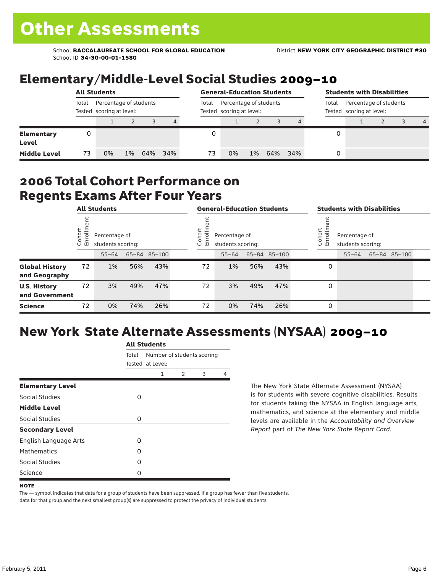### Elementary/Middle-Level Social Studies 2009–10

|                            | <b>All Students</b> |                                                    |    |     |     |       | <b>General-Education Students</b>                  |    |     |     |       | <b>Students with Disabilities</b>                  |  |  |                |  |
|----------------------------|---------------------|----------------------------------------------------|----|-----|-----|-------|----------------------------------------------------|----|-----|-----|-------|----------------------------------------------------|--|--|----------------|--|
|                            | Total               | Percentage of students<br>Tested scoring at level: |    |     |     | Total | Percentage of students<br>Tested scoring at level: |    |     |     | Total | Percentage of students<br>Tested scoring at level: |  |  |                |  |
|                            |                     |                                                    |    |     | 4   |       |                                                    |    |     |     |       |                                                    |  |  | $\overline{4}$ |  |
| <b>Elementary</b><br>Level | 0                   |                                                    |    |     |     |       |                                                    |    |     |     |       |                                                    |  |  |                |  |
| <b>Middle Level</b>        | 73                  | 0%                                                 | 1% | 64% | 34% | 73    | 0%                                                 | 1% | 64% | 34% |       |                                                    |  |  |                |  |

### 2006 Total Cohort Performance on Regents Exams After Four Years

|                                        | <b>All Students</b>        |    |                                                                 |     | <b>General-Education Students</b> |    |                                                         |     |              | <b>Students with Disabilities</b> |                                                         |           |  |              |  |
|----------------------------------------|----------------------------|----|-----------------------------------------------------------------|-----|-----------------------------------|----|---------------------------------------------------------|-----|--------------|-----------------------------------|---------------------------------------------------------|-----------|--|--------------|--|
|                                        | ゼ<br>Cohoi<br>$\circ$<br>巴 |    | Percentage of<br>students scoring:<br>65-84 85-100<br>$55 - 64$ |     |                                   |    | Cohort<br>Percentage of<br>o,<br>모<br>students scoring: |     |              |                                   | Cohort<br>Percentage of<br>o,<br>문<br>students scoring: |           |  |              |  |
|                                        |                            |    |                                                                 |     |                                   |    | $55 - 64$                                               |     | 65-84 85-100 |                                   |                                                         | $55 - 64$ |  | 65-84 85-100 |  |
| <b>Global History</b><br>and Geography | 72                         | 1% | 56%                                                             | 43% |                                   | 72 | 1%                                                      | 56% | 43%          |                                   | 0                                                       |           |  |              |  |
| <b>U.S. History</b><br>and Government  | 72                         | 3% | 49%                                                             | 47% |                                   | 72 | 3%                                                      | 49% | 47%          |                                   | 0                                                       |           |  |              |  |
| <b>Science</b>                         | 72                         | 0% | 74%                                                             | 26% |                                   | 72 | 0%                                                      | 74% | 26%          |                                   | 0                                                       |           |  |              |  |

## New York State Alternate Assessments (NYSAA) 2009–10

|                              | <b>All Students</b> |                                                |               |   |   |  |  |  |
|------------------------------|---------------------|------------------------------------------------|---------------|---|---|--|--|--|
|                              | Total               | Number of students scoring<br>Tested at Level: |               |   |   |  |  |  |
|                              |                     | 1                                              | $\mathcal{P}$ | 3 | 4 |  |  |  |
| <b>Elementary Level</b>      |                     |                                                |               |   |   |  |  |  |
| Social Studies               | 0                   |                                                |               |   |   |  |  |  |
| <b>Middle Level</b>          |                     |                                                |               |   |   |  |  |  |
| Social Studies               | 0                   |                                                |               |   |   |  |  |  |
| <b>Secondary Level</b>       |                     |                                                |               |   |   |  |  |  |
| <b>English Language Arts</b> | O                   |                                                |               |   |   |  |  |  |
| <b>Mathematics</b>           | Ω                   |                                                |               |   |   |  |  |  |
| Social Studies               | O                   |                                                |               |   |   |  |  |  |
| Science                      | Ω                   |                                                |               |   |   |  |  |  |

The New York State Alternate Assessment (NYSAA) is for students with severe cognitive disabilities. Results for students taking the NYSAA in English language arts, mathematics, and science at the elementary and middle levels are available in the *Accountability and Overview Report* part of *The New York State Report Card*.

The — symbol indicates that data for a group of students have been suppressed. If a group has fewer than five students, data for that group and the next smallest group(s) are suppressed to protect the privacy of individual students.

**NOTE**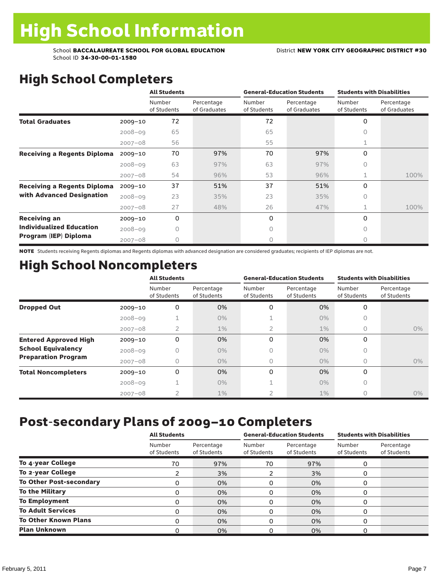# High School Completers

|                                    |             | <b>All Students</b>   |                            |                       | <b>General-Education Students</b> | <b>Students with Disabilities</b> |                            |  |
|------------------------------------|-------------|-----------------------|----------------------------|-----------------------|-----------------------------------|-----------------------------------|----------------------------|--|
|                                    |             | Number<br>of Students | Percentage<br>of Graduates | Number<br>of Students | Percentage<br>of Graduates        | Number<br>of Students             | Percentage<br>of Graduates |  |
| <b>Total Graduates</b>             | $2009 - 10$ | 72                    |                            | 72                    |                                   | 0                                 |                            |  |
|                                    | $2008 - 09$ | 65                    |                            | 65                    |                                   | <sup>n</sup>                      |                            |  |
|                                    | $2007 - 08$ | 56                    |                            | 55                    |                                   | 1                                 |                            |  |
| <b>Receiving a Regents Diploma</b> | $2009 - 10$ | 70                    | 97%                        | 70                    | 97%                               | 0                                 |                            |  |
|                                    | $2008 - 09$ | 63                    | 97%                        | 63                    | 97%                               | 0                                 |                            |  |
|                                    | $2007 - 08$ | 54                    | 96%                        | 53                    | 96%                               | $\mathbf{1}$                      | 100%                       |  |
| <b>Receiving a Regents Diploma</b> | $2009 - 10$ | 37                    | 51%                        | 37                    | 51%                               | 0                                 |                            |  |
| with Advanced Designation          | $2008 - 09$ | 23                    | 35%                        | 23                    | 35%                               | 0                                 |                            |  |
|                                    | $2007 - 08$ | 27                    | 48%                        | 26                    | 47%                               | 1                                 | 100%                       |  |
| <b>Receiving an</b>                | $2009 - 10$ | 0                     |                            | 0                     |                                   | 0                                 |                            |  |
| <b>Individualized Education</b>    | $2008 - 09$ | Ω                     |                            | $\bigcap$             |                                   | 0                                 |                            |  |
| Program (IEP) Diploma              | $2007 - 08$ | 0                     |                            | 0                     |                                   | 0                                 |                            |  |

NOTE Students receiving Regents diplomas and Regents diplomas with advanced designation are considered graduates; recipients of IEP diplomas are not.

## High School Noncompleters

|                              |             | <b>All Students</b>   |                           |                       | <b>General-Education Students</b> | <b>Students with Disabilities</b> |                           |  |
|------------------------------|-------------|-----------------------|---------------------------|-----------------------|-----------------------------------|-----------------------------------|---------------------------|--|
|                              |             | Number<br>of Students | Percentage<br>of Students | Number<br>of Students | Percentage<br>of Students         | Number<br>of Students             | Percentage<br>of Students |  |
| <b>Dropped Out</b>           | $2009 - 10$ | 0                     | 0%                        | 0                     | 0%                                | 0                                 |                           |  |
|                              | $2008 - 09$ |                       | $0\%$                     |                       | $0\%$                             | 0                                 |                           |  |
|                              | $2007 - 08$ | 2                     | $1\%$                     |                       | $1\%$                             | 0                                 | $0\%$                     |  |
| <b>Entered Approved High</b> | $2009 - 10$ | 0                     | 0%                        | 0                     | 0%                                | $\Omega$                          |                           |  |
| <b>School Equivalency</b>    | $2008 - 09$ | n                     | $0\%$                     | 0                     | $0\%$                             | 0                                 |                           |  |
| <b>Preparation Program</b>   | $2007 - 08$ | 0                     | $0\%$                     | 0                     | $0\%$                             | $\Omega$                          | $0\%$                     |  |
| <b>Total Noncompleters</b>   | $2009 - 10$ | 0                     | 0%                        | 0                     | 0%                                | $\Omega$                          |                           |  |
|                              | $2008 - 09$ |                       | $0\%$                     |                       | $0\%$                             | 0                                 |                           |  |
|                              | $2007 - 08$ | $\overline{2}$        | $1\%$                     |                       | $1\%$                             | O                                 | $0\%$                     |  |

### Post-secondary Plans of 2009–10 Completers

|                                | <b>All Students</b>   |                           |                       | <b>General-Education Students</b> | <b>Students with Disabilities</b> |                           |  |
|--------------------------------|-----------------------|---------------------------|-----------------------|-----------------------------------|-----------------------------------|---------------------------|--|
|                                | Number<br>of Students | Percentage<br>of Students | Number<br>of Students | Percentage<br>of Students         | Number<br>of Students             | Percentage<br>of Students |  |
| To 4-year College              | 70                    | 97%                       | 70                    | 97%                               |                                   |                           |  |
| To 2-year College              |                       | 3%                        |                       | 3%                                | 0                                 |                           |  |
| <b>To Other Post-secondary</b> | 0                     | 0%                        | 0                     | 0%                                | O                                 |                           |  |
| <b>To the Military</b>         | 0                     | 0%                        | 0                     | 0%                                | 0                                 |                           |  |
| <b>To Employment</b>           | Ω                     | 0%                        | 0                     | 0%                                |                                   |                           |  |
| <b>To Adult Services</b>       | 0                     | 0%                        | 0                     | 0%                                | O                                 |                           |  |
| <b>To Other Known Plans</b>    | 0                     | 0%                        | O                     | 0%                                | 0                                 |                           |  |
| <b>Plan Unknown</b>            |                       | 0%                        | 0                     | 0%                                |                                   |                           |  |